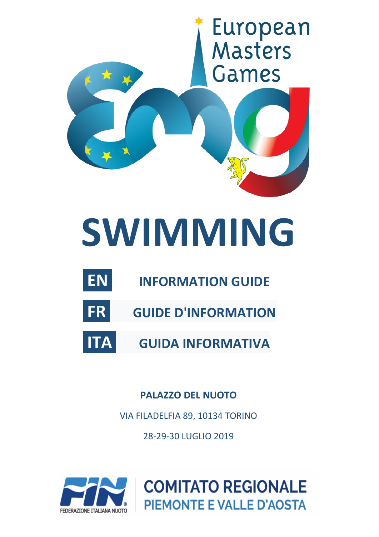

# **SWIMMING**

- **EN INFORMATION GUIDE**
- **FR GUIDE D'INFORMATION**
- **ITA GUIDA INFORMATIVA**

**PALAZZO DEL NUOTO**

VIA FILADELFIA 89, 10134 TORINO

28-29-30 LUGLIO 2019



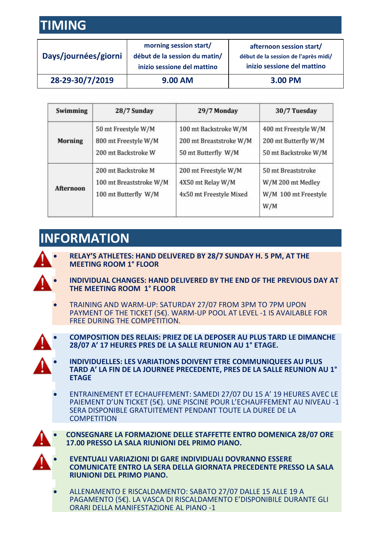## **TIMING**

| Days/journées/giorni | morning session start/<br>début de la session du matin/<br>inizio sessione del mattino | afternoon session start/<br>début de la session de l'après midi/<br>inizio sessione del mattino |
|----------------------|----------------------------------------------------------------------------------------|-------------------------------------------------------------------------------------------------|
| 28-29-30/7/2019      | 9.00 AM                                                                                | 3.00 PM                                                                                         |

| Swimming         | 28/7 Sunday                                                            | 29/7 Monday                                                             | 30/7 Tuesday                                                           |
|------------------|------------------------------------------------------------------------|-------------------------------------------------------------------------|------------------------------------------------------------------------|
| <b>Morning</b>   | 50 mt Freestyle W/M<br>800 mt Freestyle W/M<br>200 mt Backstroke W     | 100 mt Backstroke W/M<br>200 mt Breaststroke W/M<br>50 mt Butterfly W/M | 400 mt Freestyle W/M<br>200 mt Butterfly W/M<br>50 mt Backstroke W/M   |
| <b>Afternoon</b> | 200 mt Backstroke M<br>100 mt Breaststroke W/M<br>100 mt Butterfly W/M | 200 mt Freestyle W/M<br>4X50 mt Relay W/M<br>4x50 mt Freestyle Mixed    | 50 mt Breaststroke<br>W/M 200 mt Medley<br>W/M 100 mt Freestyle<br>W/M |

## **INFORMATION**

 $\mathbf{\Lambda}$ 

• **RELAY'S ATHLETES: HAND DELIVERED BY 28/7 SUNDAY H. 5 PM, AT THE MEETING ROOM 1° FLOOR**

- **INDIVIDUAL CHANGES: HAND DELIVERED BY THE END OF THE PREVIOUS DAY AT THE MEETING ROOM 1° FLOOR**
- TRAINING AND WARM-UP: SATURDAY 27/07 FROM 3PM TO 7PM UPON PAYMENT OF THE TICKET (5€). WARM-UP POOL AT LEVEL -1 IS AVAILABLE FOR FREE DURING THE COMPETITION.
- A
- **COMPOSITION DES RELAIS: PRIEZ DE LA DEPOSER AU PLUS TARD LE DIMANCHE 28/07 A' 17 HEURES PRES DE LA SALLE REUNION AU 1° ETAGE.**
- **INDIVIDUELLES: LES VARIATIONS DOIVENT ETRE COMMUNIQUEES AU PLUS TARD A' LA FIN DE LA JOURNEE PRECEDENTE, PRES DE LA SALLE REUNION AU 1° ETAGE**
- ENTRAINEMENT ET ECHAUFFEMENT: SAMEDI 27/07 DU 15 A' 19 HEURES AVEC LE PAIEMENT D'UN TICKET (5€). UNE PISCINE POUR L'ECHAUFFEMENT AU NIVEAU -1 SERA DISPONIBLE GRATUITEMENT PENDANT TOUTE LA DUREE DE LA **COMPETITION**
- 
- **CONSEGNARE LA FORMAZIONE DELLE STAFFETTE ENTRO DOMENICA 28/07 ORE 17.00 PRESSO LA SALA RIUNIONI DEL PRIMO PIANO.**
- 
- **EVENTUALI VARIAZIONI DI GARE INDIVIDUALI DOVRANNO ESSERE COMUNICATE ENTRO LA SERA DELLA GIORNATA PRECEDENTE PRESSO LA SALA RIUNIONI DEL PRIMO PIANO.**
- ALLENAMENTO E RISCALDAMENTO: SABATO 27/07 DALLE 15 ALLE 19 A PAGAMENTO (5€). LA VASCA DI RISCALDAMENTO E'DISPONIBILE DURANTE GLI ORARI DELLA MANIFESTAZIONE AL PIANO -1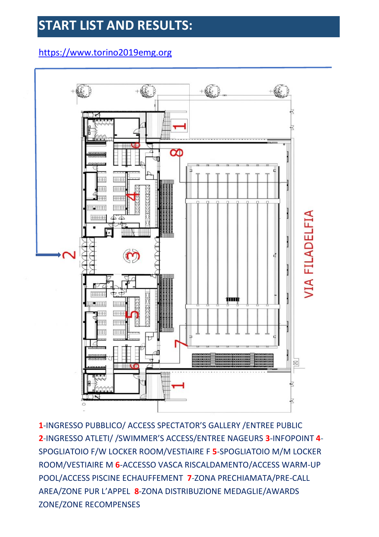## **START LIST AND RESULTS:**

### https://www.torino2019emg.org



**1**-INGRESSO PUBBLICO/ ACCESS SPECTATOR'S GALLERY /ENTREE PUBLIC **2**-INGRESSO ATLETI/ /SWIMMER'S ACCESS/ENTREE NAGEURS **3**-INFOPOINT **4**- SPOGLIATOIO F/W LOCKER ROOM/VESTIAIRE F **5**-SPOGLIATOIO M/M LOCKER ROOM/VESTIAIRE M **6**-ACCESSO VASCA RISCALDAMENTO/ACCESS WARM-UP POOL/ACCESS PISCINE ECHAUFFEMENT **7**-ZONA PRECHIAMATA/PRE-CALL AREA/ZONE PUR L'APPEL **8**-ZONA DISTRIBUZIONE MEDAGLIE/AWARDS ZONE/ZONE RECOMPENSES